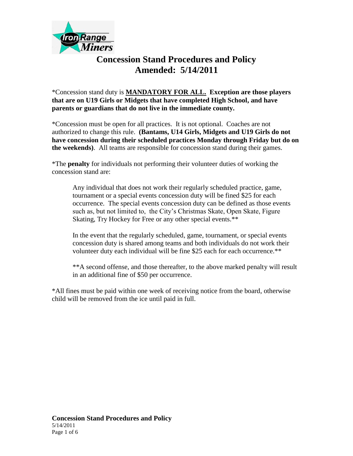

## **Concession Stand Procedures and Policy Amended: 5/14/2011**

\*Concession stand duty is **MANDATORY FOR ALL. Exception are those players that are on U19 Girls or Midgets that have completed High School, and have parents or guardians that do not live in the immediate county.**

\*Concession must be open for all practices. It is not optional. Coaches are not authorized to change this rule. **(Bantams, U14 Girls, Midgets and U19 Girls do not have concession during their scheduled practices Monday through Friday but do on the weekends)**. All teams are responsible for concession stand during their games.

\*The **penalty** for individuals not performing their volunteer duties of working the concession stand are:

Any individual that does not work their regularly scheduled practice, game, tournament or a special events concession duty will be fined \$25 for each occurrence. The special events concession duty can be defined as those events such as, but not limited to, the City's Christmas Skate, Open Skate, Figure Skating, Try Hockey for Free or any other special events.\*\*

In the event that the regularly scheduled, game, tournament, or special events concession duty is shared among teams and both individuals do not work their volunteer duty each individual will be fine \$25 each for each occurrence.\*\*

\*\*A second offense, and those thereafter, to the above marked penalty will result in an additional fine of \$50 per occurrence.

\*All fines must be paid within one week of receiving notice from the board, otherwise child will be removed from the ice until paid in full.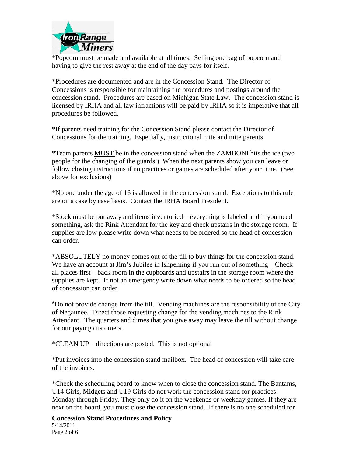

\*Popcorn must be made and available at all times. Selling one bag of popcorn and having to give the rest away at the end of the day pays for itself.

\*Procedures are documented and are in the Concession Stand. The Director of Concessions is responsible for maintaining the procedures and postings around the concession stand. Procedures are based on Michigan State Law. The concession stand is licensed by IRHA and all law infractions will be paid by IRHA so it is imperative that all procedures be followed.

\*If parents need training for the Concession Stand please contact the Director of Concessions for the training. Especially, instructional mite and mite parents.

\*Team parents MUST be in the concession stand when the ZAMBONI hits the ice (two people for the changing of the guards.) When the next parents show you can leave or follow closing instructions if no practices or games are scheduled after your time. (See above for exclusions)

\*No one under the age of 16 is allowed in the concession stand. Exceptions to this rule are on a case by case basis. Contact the IRHA Board President.

\*Stock must be put away and items inventoried – everything is labeled and if you need something, ask the Rink Attendant for the key and check upstairs in the storage room. If supplies are low please write down what needs to be ordered so the head of concession can order.

\*ABSOLUTELY no money comes out of the till to buy things for the concession stand. We have an account at Jim's Jubilee in Ishpeming if you run out of something – Check all places first – back room in the cupboards and upstairs in the storage room where the supplies are kept. If not an emergency write down what needs to be ordered so the head of concession can order.

**\***Do not provide change from the till. Vending machines are the responsibility of the City of Negaunee. Direct those requesting change for the vending machines to the Rink Attendant. The quarters and dimes that you give away may leave the till without change for our paying customers.

\*CLEAN UP – directions are posted. This is not optional

\*Put invoices into the concession stand mailbox. The head of concession will take care of the invoices.

\*Check the scheduling board to know when to close the concession stand. The Bantams, U14 Girls, Midgets and U19 Girls do not work the concession stand for practices Monday through Friday. They only do it on the weekends or weekday games. If they are next on the board, you must close the concession stand. If there is no one scheduled for

**Concession Stand Procedures and Policy** 5/14/2011 Page 2 of 6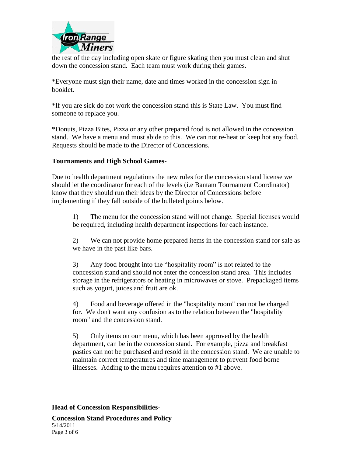

the rest of the day including open skate or figure skating then you must clean and shut down the concession stand. Each team must work during their games.

\*Everyone must sign their name, date and times worked in the concession sign in booklet.

\*If you are sick do not work the concession stand this is State Law. You must find someone to replace you.

\*Donuts, Pizza Bites, Pizza or any other prepared food is not allowed in the concession stand. We have a menu and must abide to this. We can not re-heat or keep hot any food. Requests should be made to the Director of Concessions.

## **Tournaments and High School Games-**

Due to health department regulations the new rules for the concession stand license we should let the coordinator for each of the levels (i.e Bantam Tournament Coordinator) know that they should run their ideas by the Director of Concessions before implementing if they fall outside of the bulleted points below.

1) The menu for the concession stand will not change. Special licenses would be required, including health department inspections for each instance.

2) We can not provide home prepared items in the concession stand for sale as we have in the past like bars.

3) Any food brought into the "hospitality room" is not related to the concession stand and should not enter the concession stand area. This includes storage in the refrigerators or heating in microwaves or stove. Prepackaged items such as yogurt, juices and fruit are ok.

4) Food and beverage offered in the "hospitality room" can not be charged for. We don't want any confusion as to the relation between the "hospitality room" and the concession stand.

5) Only items on our menu, which has been approved by the health department, can be in the concession stand. For example, pizza and breakfast pasties can not be purchased and resold in the concession stand. We are unable to maintain correct temperatures and time management to prevent food borne illnesses. Adding to the menu requires attention to #1 above.

**Head of Concession Responsibilities-**

**Concession Stand Procedures and Policy** 5/14/2011 Page 3 of 6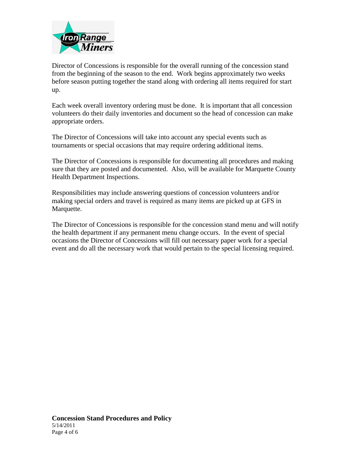

Director of Concessions is responsible for the overall running of the concession stand from the beginning of the season to the end. Work begins approximately two weeks before season putting together the stand along with ordering all items required for start up.

Each week overall inventory ordering must be done. It is important that all concession volunteers do their daily inventories and document so the head of concession can make appropriate orders.

The Director of Concessions will take into account any special events such as tournaments or special occasions that may require ordering additional items.

The Director of Concessions is responsible for documenting all procedures and making sure that they are posted and documented. Also, will be available for Marquette County Health Department Inspections.

Responsibilities may include answering questions of concession volunteers and/or making special orders and travel is required as many items are picked up at GFS in Marquette.

The Director of Concessions is responsible for the concession stand menu and will notify the health department if any permanent menu change occurs. In the event of special occasions the Director of Concessions will fill out necessary paper work for a special event and do all the necessary work that would pertain to the special licensing required.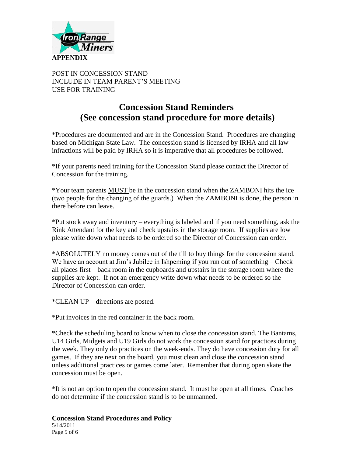

POST IN CONCESSION STAND INCLUDE IN TEAM PARENT'S MEETING USE FOR TRAINING

## **Concession Stand Reminders (See concession stand procedure for more details)**

\*Procedures are documented and are in the Concession Stand. Procedures are changing based on Michigan State Law. The concession stand is licensed by IRHA and all law infractions will be paid by IRHA so it is imperative that all procedures be followed.

\*If your parents need training for the Concession Stand please contact the Director of Concession for the training.

\*Your team parents MUST be in the concession stand when the ZAMBONI hits the ice (two people for the changing of the guards.) When the ZAMBONI is done, the person in there before can leave.

\*Put stock away and inventory – everything is labeled and if you need something, ask the Rink Attendant for the key and check upstairs in the storage room. If supplies are low please write down what needs to be ordered so the Director of Concession can order.

\*ABSOLUTELY no money comes out of the till to buy things for the concession stand. We have an account at Jim's Jubilee in Ishpeming if you run out of something – Check all places first – back room in the cupboards and upstairs in the storage room where the supplies are kept. If not an emergency write down what needs to be ordered so the Director of Concession can order.

\*CLEAN UP – directions are posted.

\*Put invoices in the red container in the back room.

\*Check the scheduling board to know when to close the concession stand. The Bantams, U14 Girls, Midgets and U19 Girls do not work the concession stand for practices during the week. They only do practices on the week-ends. They do have concession duty for all games. If they are next on the board, you must clean and close the concession stand unless additional practices or games come later. Remember that during open skate the concession must be open.

\*It is not an option to open the concession stand. It must be open at all times. Coaches do not determine if the concession stand is to be unmanned.

**Concession Stand Procedures and Policy** 5/14/2011 Page 5 of 6